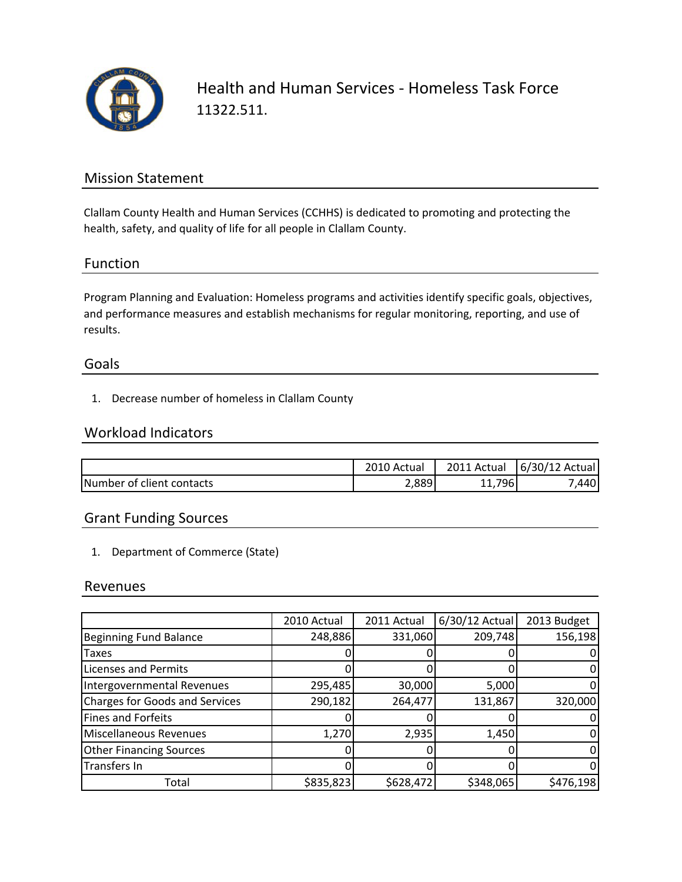

Health and Human Services ‐ Homeless Task Force 11322.511.

## Mission Statement

Clallam County Health and Human Services (CCHHS) is dedicated to promoting and protecting the health, safety, and quality of life for all people in Clallam County.

### Function

Program Planning and Evaluation: Homeless programs and activities identify specific goals, objectives, and performance measures and establish mechanisms for regular monitoring, reporting, and use of results.

#### Goals

1. Decrease number of homeless in Clallam County

### Workload Indicators

|                           | 2010 Actual | 2011 Actual     | 6/30/12 Actual |
|---------------------------|-------------|-----------------|----------------|
| Number of client contacts | 2,889       | 796<br><b>.</b> | 440            |

## Grant Funding Sources

1. Department of Commerce (State)

#### Revenues

|                                       | 2010 Actual | 2011 Actual | 6/30/12 Actual | 2013 Budget |
|---------------------------------------|-------------|-------------|----------------|-------------|
| <b>Beginning Fund Balance</b>         | 248,886     | 331,060     | 209,748        | 156,198     |
| Taxes                                 |             |             |                |             |
| <b>Licenses and Permits</b>           |             |             |                |             |
| Intergovernmental Revenues            | 295,485     | 30,000      | 5,000          |             |
| <b>Charges for Goods and Services</b> | 290,182     | 264,477     | 131,867        | 320,000     |
| <b>Fines and Forfeits</b>             |             |             |                |             |
| <b>Miscellaneous Revenues</b>         | 1,270       | 2,935       | 1,450          |             |
| <b>Other Financing Sources</b>        |             |             |                |             |
| Transfers In                          |             | O           |                |             |
| Total                                 | \$835,823   | \$628,472   | \$348,065      | \$476,198   |